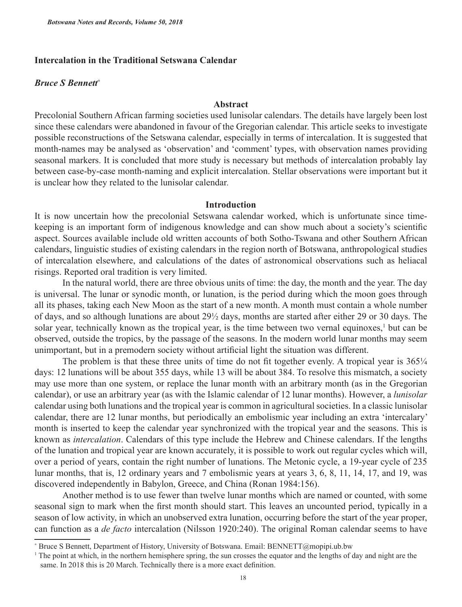# **Intercalation in the Traditional Setswana Calendar**

## *Bruce S Bennett*<sup>∗</sup>

## **Abstract**

Precolonial Southern African farming societies used lunisolar calendars. The details have largely been lost since these calendars were abandoned in favour of the Gregorian calendar. This article seeks to investigate possible reconstructions of the Setswana calendar, especially in terms of intercalation. It is suggested that month-names may be analysed as 'observation' and 'comment' types, with observation names providing seasonal markers. It is concluded that more study is necessary but methods of intercalation probably lay between case-by-case month-naming and explicit intercalation. Stellar observations were important but it is unclear how they related to the lunisolar calendar*.*

### **Introduction**

It is now uncertain how the precolonial Setswana calendar worked, which is unfortunate since timekeeping is an important form of indigenous knowledge and can show much about a society's scientific aspect. Sources available include old written accounts of both Sotho-Tswana and other Southern African calendars, linguistic studies of existing calendars in the region north of Botswana, anthropological studies of intercalation elsewhere, and calculations of the dates of astronomical observations such as heliacal risings. Reported oral tradition is very limited.

In the natural world, there are three obvious units of time: the day, the month and the year. The day is universal. The lunar or synodic month, or lunation, is the period during which the moon goes through all its phases, taking each New Moon as the start of a new month. A month must contain a whole number of days, and so although lunations are about 29½ days, months are started after either 29 or 30 days. The solar year, technically known as the tropical year, is the time between two vernal equinoxes,<sup>1</sup> but can be observed, outside the tropics, by the passage of the seasons. In the modern world lunar months may seem unimportant, but in a premodern society without artificial light the situation was different.

The problem is that these three units of time do not fit together evenly. A tropical year is  $365\frac{1}{4}$ days: 12 lunations will be about 355 days, while 13 will be about 384. To resolve this mismatch, a society may use more than one system, or replace the lunar month with an arbitrary month (as in the Gregorian calendar), or use an arbitrary year (as with the Islamic calendar of 12 lunar months). However, a *lunisolar* calendar using both lunations and the tropical year is common in agricultural societies. In a classic lunisolar calendar, there are 12 lunar months, but periodically an embolismic year including an extra 'intercalary' month is inserted to keep the calendar year synchronized with the tropical year and the seasons. This is known as *intercalation*. Calendars of this type include the Hebrew and Chinese calendars. If the lengths of the lunation and tropical year are known accurately, it is possible to work out regular cycles which will, over a period of years, contain the right number of lunations. The Metonic cycle, a 19-year cycle of 235 lunar months, that is, 12 ordinary years and 7 embolismic years at years 3, 6, 8, 11, 14, 17, and 19, was discovered independently in Babylon, Greece, and China (Ronan 1984:156).

Another method is to use fewer than twelve lunar months which are named or counted, with some seasonal sign to mark when the first month should start. This leaves an uncounted period, typically in a season of low activity, in which an unobserved extra lunation, occurring before the start of the year proper, can function as a *de facto* intercalation (Nilsson 1920:240). The original Roman calendar seems to have

<sup>∗</sup> Bruce S Bennett, Department of History, University of Botswana. Email: BENNETT@mopipi.ub.bw

<sup>1</sup> The point at which, in the northern hemisphere spring, the sun crosses the equator and the lengths of day and night are the same. In 2018 this is 20 March. Technically there is a more exact definition.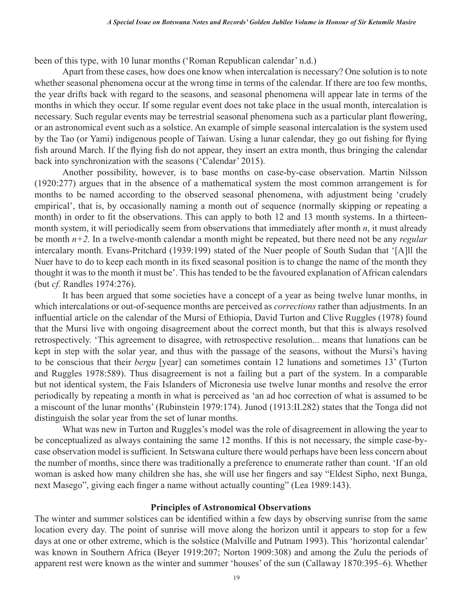been of this type, with 10 lunar months ('Roman Republican calendar' n.d.)

Apart from these cases, how does one know when intercalation is necessary? One solution is to note whether seasonal phenomena occur at the wrong time in terms of the calendar. If there are too few months, the year drifts back with regard to the seasons, and seasonal phenomena will appear late in terms of the months in which they occur. If some regular event does not take place in the usual month, intercalation is necessary. Such regular events may be terrestrial seasonal phenomena such as a particular plant flowering, or an astronomical event such as a solstice. An example of simple seasonal intercalation is the system used by the Tao (or Yami) indigenous people of Taiwan. Using a lunar calendar, they go out fishing for flying fish around March. If the flying fish do not appear, they insert an extra month, thus bringing the calendar back into synchronization with the seasons ('Calendar' 2015).

Another possibility, however, is to base months on case-by-case observation. Martin Nilsson (1920:277) argues that in the absence of a mathematical system the most common arrangement is for months to be named according to the observed seasonal phenomena, with adjustment being 'crudely empirical', that is, by occasionally naming a month out of sequence (normally skipping or repeating a month) in order to fit the observations. This can apply to both 12 and 13 month systems. In a thirteenmonth system, it will periodically seem from observations that immediately after month *n*, it must already be month *n+2*. In a twelve-month calendar a month might be repeated, but there need not be any *regular* intercalary month. Evans-Pritchard (1939:199) stated of the Nuer people of South Sudan that '[A]ll the Nuer have to do to keep each month in its fixed seasonal position is to change the name of the month they thought it was to the month it must be'. This has tended to be the favoured explanation of African calendars (but *cf.* Randles 1974:276).

It has been argued that some societies have a concept of a year as being twelve lunar months, in which intercalations or out-of-sequence months are perceived as *corrections* rather than adjustments. In an influential article on the calendar of the Mursi of Ethiopia, David Turton and Clive Ruggles (1978) found that the Mursi live with ongoing disagreement about the correct month, but that this is always resolved retrospectively. 'This agreement to disagree, with retrospective resolution... means that lunations can be kept in step with the solar year, and thus with the passage of the seasons, without the Mursi's having to be conscious that their *bergu* [year] can sometimes contain 12 lunations and sometimes 13' (Turton and Ruggles 1978:589). Thus disagreement is not a failing but a part of the system. In a comparable but not identical system, the Fais Islanders of Micronesia use twelve lunar months and resolve the error periodically by repeating a month in what is perceived as 'an ad hoc correction of what is assumed to be a miscount of the lunar months' (Rubinstein 1979:174). Junod (1913:II.282) states that the Tonga did not distinguish the solar year from the set of lunar months.

What was new in Turton and Ruggles's model was the role of disagreement in allowing the year to be conceptualized as always containing the same 12 months. If this is not necessary, the simple case-bycase observation model is sufficient. In Setswana culture there would perhaps have been less concern about the number of months, since there was traditionally a preference to enumerate rather than count. 'If an old woman is asked how many children she has, she will use her fingers and say "Eldest Sipho, next Bunga, next Masego", giving each finger a name without actually counting" (Lea 1989:143).

### **Principles of Astronomical Observations**

The winter and summer solstices can be identified within a few days by observing sunrise from the same location every day. The point of sunrise will move along the horizon until it appears to stop for a few days at one or other extreme, which is the solstice (Malville and Putnam 1993). This 'horizontal calendar' was known in Southern Africa (Beyer 1919:207; Norton 1909:308) and among the Zulu the periods of apparent rest were known as the winter and summer 'houses' of the sun (Callaway 1870:395–6). Whether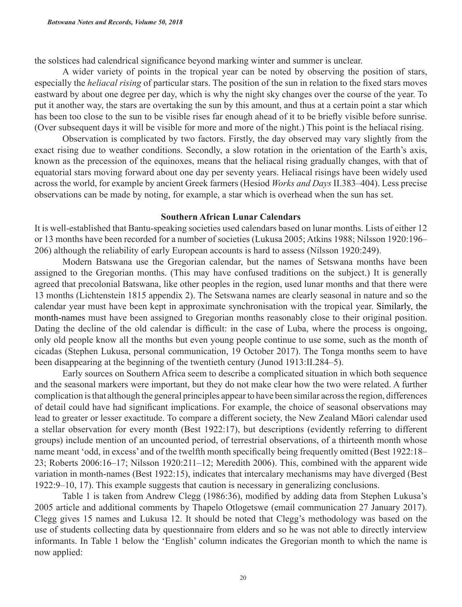the solstices had calendrical significance beyond marking winter and summer is unclear.

A wider variety of points in the tropical year can be noted by observing the position of stars, especially the *heliacal rising* of particular stars. The position of the sun in relation to the fixed stars moves eastward by about one degree per day, which is why the night sky changes over the course of the year. To put it another way, the stars are overtaking the sun by this amount, and thus at a certain point a star which has been too close to the sun to be visible rises far enough ahead of it to be briefly visible before sunrise. (Over subsequent days it will be visible for more and more of the night.) This point is the heliacal rising.

Observation is complicated by two factors. Firstly, the day observed may vary slightly from the exact rising due to weather conditions. Secondly, a slow rotation in the orientation of the Earth's axis, known as the precession of the equinoxes, means that the heliacal rising gradually changes, with that of equatorial stars moving forward about one day per seventy years. Heliacal risings have been widely used across the world, for example by ancient Greek farmers (Hesiod *Works and Days* II.383–404). Less precise observations can be made by noting, for example, a star which is overhead when the sun has set.

### **Southern African Lunar Calendars**

It is well-established that Bantu-speaking societies used calendars based on lunar months. Lists of either 12 or 13 months have been recorded for a number of societies (Lukusa 2005; Atkins 1988; Nilsson 1920:196– 206) although the reliability of early European accounts is hard to assess (Nilsson 1920:249).

Modern Batswana use the Gregorian calendar, but the names of Setswana months have been assigned to the Gregorian months. (This may have confused traditions on the subject.) It is generally agreed that precolonial Batswana, like other peoples in the region, used lunar months and that there were 13 months (Lichtenstein 1815 appendix 2). The Setswana names are clearly seasonal in nature and so the calendar year must have been kept in approximate synchronisation with the tropical year. Similarly, the month-names must have been assigned to Gregorian months reasonably close to their original position. Dating the decline of the old calendar is difficult: in the case of Luba, where the process is ongoing, only old people know all the months but even young people continue to use some, such as the month of cicadas (Stephen Lukusa, personal communication, 19 October 2017). The Tonga months seem to have been disappearing at the beginning of the twentieth century (Junod 1913:II.284–5).

Early sources on Southern Africa seem to describe a complicated situation in which both sequence and the seasonal markers were important, but they do not make clear how the two were related. A further complication is that although the general principles appear to have been similar across the region, differences of detail could have had significant implications. For example, the choice of seasonal observations may lead to greater or lesser exactitude. To compare a different society, the New Zealand Māori calendar used a stellar observation for every month (Best 1922:17), but descriptions (evidently referring to different groups) include mention of an uncounted period, of terrestrial observations, of a thirteenth month whose name meant 'odd, in excess' and of the twelfth month specifically being frequently omitted (Best 1922:18– 23; Roberts 2006:16–17; Nilsson 1920:211–12; Meredith 2006). This, combined with the apparent wide variation in month-names (Best 1922:15), indicates that intercalary mechanisms may have diverged (Best 1922:9–10, 17). This example suggests that caution is necessary in generalizing conclusions.

Table 1 is taken from Andrew Clegg (1986:36), modified by adding data from Stephen Lukusa's 2005 article and additional comments by Thapelo Otlogetswe (email communication 27 January 2017). Clegg gives 15 names and Lukusa 12. It should be noted that Clegg's methodology was based on the use of students collecting data by questionnaire from elders and so he was not able to directly interview informants. In Table 1 below the 'English' column indicates the Gregorian month to which the name is now applied: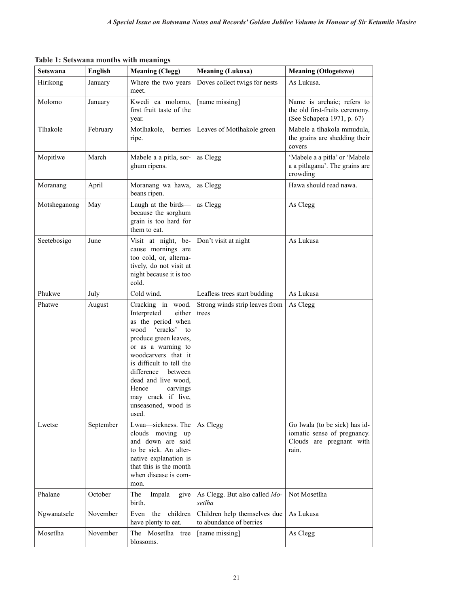**Table 1: Setswana months with meanings**

| Setswana     | <b>English</b> | <b>Meaning (Clegg)</b>                                                                                                                                                                                                                                                                                               | <b>Meaning (Lukusa)</b>                                 | <b>Meaning (Otlogetswe)</b>                                                                       |
|--------------|----------------|----------------------------------------------------------------------------------------------------------------------------------------------------------------------------------------------------------------------------------------------------------------------------------------------------------------------|---------------------------------------------------------|---------------------------------------------------------------------------------------------------|
| Hirikong     | January        | Where the two years<br>meet.                                                                                                                                                                                                                                                                                         | Doves collect twigs for nests                           | As Lukusa.                                                                                        |
| Molomo       | January        | Kwedi ea molomo,<br>first fruit taste of the<br>year.                                                                                                                                                                                                                                                                | [name missing]                                          | Name is archaic; refers to<br>the old first-fruits ceremony.<br>(See Schapera 1971, p. 67)        |
| Tlhakole     | February       | Motlhakole,<br>berries<br>ripe.                                                                                                                                                                                                                                                                                      | Leaves of Motlhakole green                              | Mabele a tlhakola mmudula,<br>the grains are shedding their<br>covers                             |
| Mopitlwe     | March          | Mabele a a pitla, sor-<br>ghum ripens.                                                                                                                                                                                                                                                                               | as Clegg                                                | 'Mabele a a pitla' or 'Mabele<br>a a pitlagana'. The grains are<br>crowding                       |
| Moranang     | April          | Moranang wa hawa,<br>beans ripen.                                                                                                                                                                                                                                                                                    | as Clegg                                                | Hawa should read nawa.                                                                            |
| Motsheganong | May            | Laugh at the birds-<br>because the sorghum<br>grain is too hard for<br>them to eat.                                                                                                                                                                                                                                  | as Clegg                                                | As Clegg                                                                                          |
| Seetebosigo  | June           | Visit at night, be-<br>cause mornings are<br>too cold, or, alterna-<br>tively, do not visit at<br>night because it is too<br>cold.                                                                                                                                                                                   | Don't visit at night                                    | As Lukusa                                                                                         |
| Phukwe       | July           | Cold wind.                                                                                                                                                                                                                                                                                                           | Leafless trees start budding                            | As Lukusa                                                                                         |
| Phatwe       | August         | Cracking in wood.<br>Interpreted<br>either<br>as the period when<br>'cracks' to<br>wood<br>produce green leaves,<br>or as a warning to<br>woodcarvers that it<br>is difficult to tell the<br>difference<br>between<br>dead and live wood,<br>Hence<br>carvings<br>may crack if live,<br>unseasoned, wood is<br>used. | Strong winds strip leaves from<br>trees                 | As Clegg                                                                                          |
| Lwetse       | September      | Lwaa-sickness. The<br>clouds moving up<br>and down are said<br>to be sick. An alter-<br>native explanation is<br>that this is the month<br>when disease is com-<br>mon.                                                                                                                                              | As Clegg                                                | Go lwala (to be sick) has id-<br>iomatic sense of pregnancy.<br>Clouds are pregnant with<br>rain. |
| Phalane      | October        | The<br>Impala<br>give<br>birth.                                                                                                                                                                                                                                                                                      | As Clegg. But also called Mo-<br>setlha                 | Not Mosetlha                                                                                      |
| Ngwanatsele  | November       | the<br>children<br>Even<br>have plenty to eat.                                                                                                                                                                                                                                                                       | Children help themselves due<br>to abundance of berries | As Lukusa                                                                                         |
| Mosetlha     | November       | The Mosetlha tree<br>blossoms.                                                                                                                                                                                                                                                                                       | [name missing]                                          | As Clegg                                                                                          |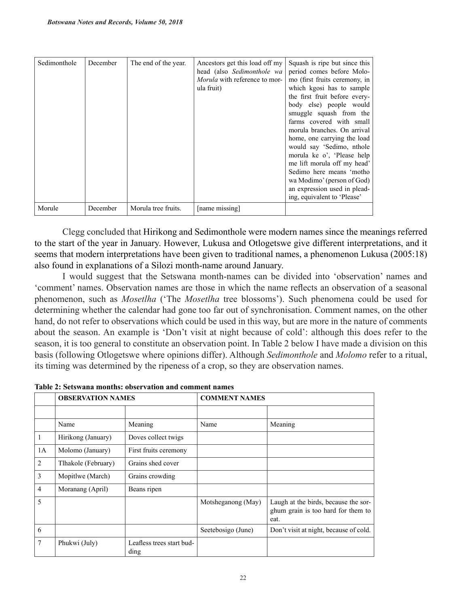| Sedimonthole | December | The end of the year. | Ancestors get this load off my<br>head (also Sedimonthole wa<br><i>Morula</i> with reference to mor-<br>ula fruit) | Squash is ripe but since this<br>period comes before Molo-<br>mo (first fruits ceremony, in<br>which kgosi has to sample<br>the first fruit before every-<br>body else) people would<br>smuggle squash from the<br>farms covered with small<br>morula branches. On arrival<br>home, one carrying the load<br>would say 'Sedimo, nthole<br>morula ke o', 'Please help<br>me lift morula off my head'<br>Sedimo here means 'motho<br>wa Modimo' (person of God)<br>an expression used in plead-<br>ing, equivalent to 'Please' |
|--------------|----------|----------------------|--------------------------------------------------------------------------------------------------------------------|------------------------------------------------------------------------------------------------------------------------------------------------------------------------------------------------------------------------------------------------------------------------------------------------------------------------------------------------------------------------------------------------------------------------------------------------------------------------------------------------------------------------------|
| Morule       | December | Morula tree fruits.  | [name missing]                                                                                                     |                                                                                                                                                                                                                                                                                                                                                                                                                                                                                                                              |

Clegg concluded that Hirikong and Sedimonthole were modern names since the meanings referred to the start of the year in January. However, Lukusa and Otlogetswe give different interpretations, and it seems that modern interpretations have been given to traditional names, a phenomenon Lukusa (2005:18) also found in explanations of a Silozi month-name around January.

I would suggest that the Setswana month-names can be divided into 'observation' names and 'comment' names. Observation names are those in which the name reflects an observation of a seasonal phenomenon, such as *Mosetlha* ('The *Mosetlha* tree blossoms'). Such phenomena could be used for determining whether the calendar had gone too far out of synchronisation. Comment names, on the other hand, do not refer to observations which could be used in this way, but are more in the nature of comments about the season. An example is 'Don't visit at night because of cold': although this does refer to the season, it is too general to constitute an observation point. In Table 2 below I have made a division on this basis (following Otlogetswe where opinions differ). Although *Sedimonthole* and *Molomo* refer to a ritual, its timing was determined by the ripeness of a crop, so they are observation names.

|                | <b>OBSERVATION NAMES</b> |                                   | <b>COMMENT NAMES</b> |                                                                                    |
|----------------|--------------------------|-----------------------------------|----------------------|------------------------------------------------------------------------------------|
|                |                          |                                   |                      |                                                                                    |
|                | Name                     | Meaning                           | Name                 | Meaning                                                                            |
| 1              | Hirikong (January)       | Doves collect twigs               |                      |                                                                                    |
| 1A             | Molomo (January)         | First fruits ceremony             |                      |                                                                                    |
| $\overline{2}$ | Tlhakole (February)      | Grains shed cover                 |                      |                                                                                    |
| 3              | Mopitlwe (March)         | Grains crowding                   |                      |                                                                                    |
| $\overline{4}$ | Moranang (April)         | Beans ripen                       |                      |                                                                                    |
| 5              |                          |                                   | Motsheganong (May)   | Laugh at the birds, because the sor-<br>ghum grain is too hard for them to<br>eat. |
| 6              |                          |                                   | Seetebosigo (June)   | Don't visit at night, because of cold.                                             |
| 7              | Phukwi (July)            | Leafless trees start bud-<br>ding |                      |                                                                                    |

**Table 2: Setswana months: observation and comment names**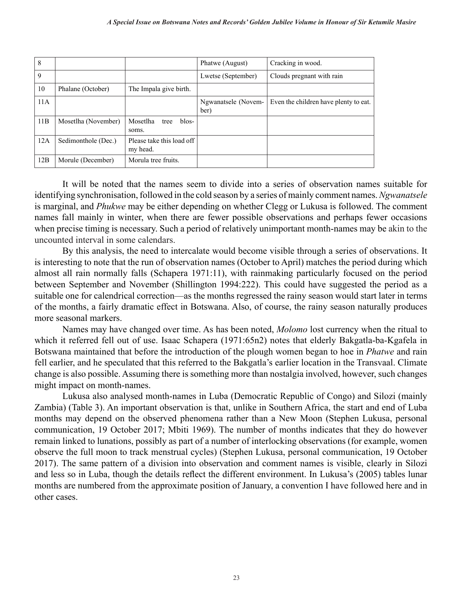| 8   |                     |                                       | Phatwe (August)             | Cracking in wood.                     |
|-----|---------------------|---------------------------------------|-----------------------------|---------------------------------------|
| 9   |                     |                                       | Lwetse (September)          | Clouds pregnant with rain             |
| 10  | Phalane (October)   | The Impala give birth.                |                             |                                       |
| 11A |                     |                                       | Ngwanatsele (Novem-<br>ber) | Even the children have plenty to eat. |
| 11B | Mosetlha (November) | Mosetlha<br>blos-<br>tree<br>soms.    |                             |                                       |
| 12A | Sedimonthole (Dec.) | Please take this load off<br>my head. |                             |                                       |
| 12B | Morule (December)   | Morula tree fruits.                   |                             |                                       |

It will be noted that the names seem to divide into a series of observation names suitable for identifying synchronisation, followed in the cold season by a series of mainly comment names. *Ngwanatsele* is marginal, and *Phukwe* may be either depending on whether Clegg or Lukusa is followed. The comment names fall mainly in winter, when there are fewer possible observations and perhaps fewer occasions when precise timing is necessary. Such a period of relatively unimportant month-names may be akin to the uncounted interval in some calendars.

By this analysis, the need to intercalate would become visible through a series of observations. It is interesting to note that the run of observation names (October to April) matches the period during which almost all rain normally falls (Schapera 1971:11), with rainmaking particularly focused on the period between September and November (Shillington 1994:222). This could have suggested the period as a suitable one for calendrical correction—as the months regressed the rainy season would start later in terms of the months, a fairly dramatic effect in Botswana. Also, of course, the rainy season naturally produces more seasonal markers.

Names may have changed over time. As has been noted, *Molomo* lost currency when the ritual to which it referred fell out of use. Isaac Schapera (1971:65n2) notes that elderly Bakgatla-ba-Kgafela in Botswana maintained that before the introduction of the plough women began to hoe in *Phatwe* and rain fell earlier, and he speculated that this referred to the Bakgatla's earlier location in the Transvaal. Climate change is also possible. Assuming there is something more than nostalgia involved, however, such changes might impact on month-names.

Lukusa also analysed month-names in Luba (Democratic Republic of Congo) and Silozi (mainly Zambia) (Table 3). An important observation is that, unlike in Southern Africa, the start and end of Luba months may depend on the observed phenomena rather than a New Moon (Stephen Lukusa, personal communication, 19 October 2017; Mbiti 1969). The number of months indicates that they do however remain linked to lunations, possibly as part of a number of interlocking observations (for example, women observe the full moon to track menstrual cycles) (Stephen Lukusa, personal communication, 19 October 2017). The same pattern of a division into observation and comment names is visible, clearly in Silozi and less so in Luba, though the details reflect the different environment. In Lukusa's (2005) tables lunar months are numbered from the approximate position of January, a convention I have followed here and in other cases.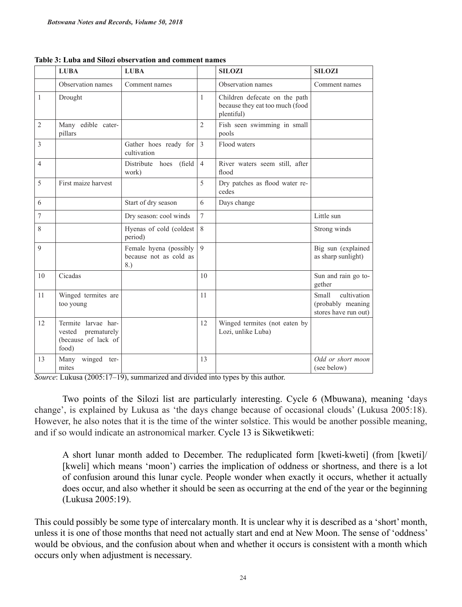|                | <b>LUBA</b>                                                                  | <b>LUBA</b>                                             |                | <b>SILOZI</b>                                                                  | <b>SILOZI</b>                                                            |
|----------------|------------------------------------------------------------------------------|---------------------------------------------------------|----------------|--------------------------------------------------------------------------------|--------------------------------------------------------------------------|
|                | Observation names                                                            | Comment names                                           |                | Observation names                                                              | Comment names                                                            |
| $\mathbf{1}$   | Drought                                                                      |                                                         | $\mathbf{1}$   | Children defecate on the path<br>because they eat too much (food<br>plentiful) |                                                                          |
| $\overline{2}$ | Many edible cater-<br>pillars                                                |                                                         | $\overline{2}$ | Fish seen swimming in small<br>pools                                           |                                                                          |
| 3              |                                                                              | Gather hoes ready for<br>cultivation                    | 3              | Flood waters                                                                   |                                                                          |
| $\overline{4}$ |                                                                              | Distribute hoes (field<br>work)                         | $\overline{4}$ | River waters seem still, after<br>flood                                        |                                                                          |
| 5              | First maize harvest                                                          |                                                         | 5              | Dry patches as flood water re-<br>cedes                                        |                                                                          |
| 6              |                                                                              | Start of dry season                                     | 6              | Days change                                                                    |                                                                          |
| $\tau$         |                                                                              | Dry season: cool winds                                  | $\overline{7}$ |                                                                                | Little sun                                                               |
| 8              |                                                                              | Hyenas of cold (coldest<br>period)                      | 8              |                                                                                | Strong winds                                                             |
| 9              |                                                                              | Female hyena (possibly<br>because not as cold as<br>8.) | $\mathbf Q$    |                                                                                | Big sun (explained<br>as sharp sunlight)                                 |
| 10             | Cicadas                                                                      |                                                         | 10             |                                                                                | Sun and rain go to-<br>gether                                            |
| 11             | Winged termites are<br>too young                                             |                                                         | 11             |                                                                                | cultivation<br><b>Small</b><br>(probably meaning<br>stores have run out) |
| 12             | Termite larvae har-<br>vested<br>prematurely<br>(because of lack of<br>food) |                                                         | 12             | Winged termites (not eaten by<br>Lozi, unlike Luba)                            |                                                                          |
| 13             | winged ter-<br>Many<br>mites                                                 |                                                         | 13             |                                                                                | Odd or short moon<br>(see below)                                         |

**Table 3: Luba and Silozi observation and comment names**

*Source*: Lukusa (2005:17–19), summarized and divided into types by this author.

Two points of the Silozi list are particularly interesting. Cycle 6 (Mbuwana), meaning 'days change', is explained by Lukusa as 'the days change because of occasional clouds' (Lukusa 2005:18). However, he also notes that it is the time of the winter solstice. This would be another possible meaning, and if so would indicate an astronomical marker. Cycle 13 is Sikwetikweti:

A short lunar month added to December. The reduplicated form [kweti-kweti] (from [kweti]/ [kweli] which means 'moon') carries the implication of oddness or shortness, and there is a lot of confusion around this lunar cycle. People wonder when exactly it occurs, whether it actually does occur, and also whether it should be seen as occurring at the end of the year or the beginning (Lukusa 2005:19).

This could possibly be some type of intercalary month. It is unclear why it is described as a 'short' month, unless it is one of those months that need not actually start and end at New Moon. The sense of 'oddness' would be obvious, and the confusion about when and whether it occurs is consistent with a month which occurs only when adjustment is necessary.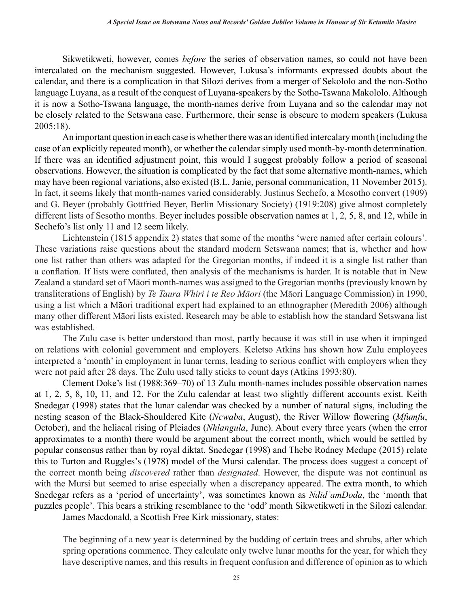Sikwetikweti, however, comes *before* the series of observation names, so could not have been intercalated on the mechanism suggested. However, Lukusa's informants expressed doubts about the calendar, and there is a complication in that Silozi derives from a merger of Sekololo and the non-Sotho language Luyana, as a result of the conquest of Luyana-speakers by the Sotho-Tswana Makololo. Although it is now a Sotho-Tswana language, the month-names derive from Luyana and so the calendar may not be closely related to the Setswana case. Furthermore, their sense is obscure to modern speakers (Lukusa 2005:18).

An important question in each case is whether there was an identified intercalary month (including the case of an explicitly repeated month), or whether the calendar simply used month-by-month determination. If there was an identified adjustment point, this would I suggest probably follow a period of seasonal observations. However, the situation is complicated by the fact that some alternative month-names, which may have been regional variations, also existed (B.L. Janie, personal communication, 11 November 2015). In fact, it seems likely that month-names varied considerably. Justinus Sechefo, a Mosotho convert (1909) and G. Beyer (probably Gottfried Beyer, Berlin Missionary Society) (1919:208) give almost completely different lists of Sesotho months. Beyer includes possible observation names at 1, 2, 5, 8, and 12, while in Sechefo's list only 11 and 12 seem likely.

Lichtenstein (1815 appendix 2) states that some of the months 'were named after certain colours'. These variations raise questions about the standard modern Setswana names; that is, whether and how one list rather than others was adapted for the Gregorian months, if indeed it is a single list rather than a conflation. If lists were conflated, then analysis of the mechanisms is harder. It is notable that in New Zealand a standard set of Māori month-names was assigned to the Gregorian months (previously known by transliterations of English) by *Te Taura Whiri i te Reo Māori* (the Māori Language Commission) in 1990, using a list which a Māori traditional expert had explained to an ethnographer (Meredith 2006) although many other different Māori lists existed. Research may be able to establish how the standard Setswana list was established.

The Zulu case is better understood than most, partly because it was still in use when it impinged on relations with colonial government and employers. Keletso Atkins has shown how Zulu employees interpreted a 'month' in employment in lunar terms, leading to serious conflict with employers when they were not paid after 28 days. The Zulu used tally sticks to count days (Atkins 1993:80).

Clement Doke's list (1988:369–70) of 13 Zulu month-names includes possible observation names at 1, 2, 5, 8, 10, 11, and 12. For the Zulu calendar at least two slightly different accounts exist. Keith Snedegar (1998) states that the lunar calendar was checked by a number of natural signs, including the nesting season of the Black-Shouldered Kite (*Ncwaba*, August), the River Willow flowering (*Mfumfu*, October), and the heliacal rising of Pleiades (*Nhlangula*, June). About every three years (when the error approximates to a month) there would be argument about the correct month, which would be settled by popular consensus rather than by royal diktat. Snedegar (1998) and Thebe Rodney Medupe (2015) relate this to Turton and Ruggles's (1978) model of the Mursi calendar. The process does suggest a concept of the correct month being *discovered* rather than *designated*. However, the dispute was not continual as with the Mursi but seemed to arise especially when a discrepancy appeared. The extra month, to which Snedegar refers as a 'period of uncertainty', was sometimes known as *Ndid'amDoda*, the 'month that puzzles people'. This bears a striking resemblance to the 'odd' month Sikwetikweti in the Silozi calendar.

James Macdonald, a Scottish Free Kirk missionary, states:

The beginning of a new year is determined by the budding of certain trees and shrubs, after which spring operations commence. They calculate only twelve lunar months for the year, for which they have descriptive names, and this results in frequent confusion and difference of opinion as to which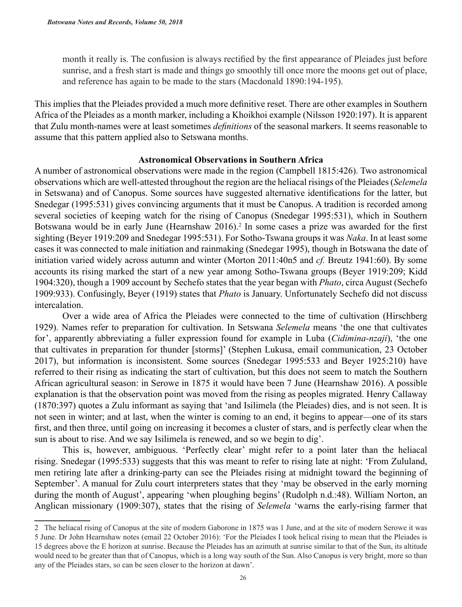month it really is. The confusion is always rectified by the first appearance of Pleiades just before sunrise, and a fresh start is made and things go smoothly till once more the moons get out of place, and reference has again to be made to the stars (Macdonald 1890:194-195).

This implies that the Pleiades provided a much more definitive reset. There are other examples in Southern Africa of the Pleiades as a month marker, including a Khoikhoi example (Nilsson 1920:197). It is apparent that Zulu month-names were at least sometimes *definitions* of the seasonal markers. It seems reasonable to assume that this pattern applied also to Setswana months.

# **Astronomical Observations in Southern Africa**

A number of astronomical observations were made in the region (Campbell 1815:426). Two astronomical observations which are well-attested throughout the region are the heliacal risings of the Pleiades (*Selemela* in Setswana) and of Canopus. Some sources have suggested alternative identifications for the latter, but Snedegar (1995:531) gives convincing arguments that it must be Canopus. A tradition is recorded among several societies of keeping watch for the rising of Canopus (Snedegar 1995:531), which in Southern Botswana would be in early June (Hearnshaw 2016).<sup>2</sup> In some cases a prize was awarded for the first sighting (Beyer 1919:209 and Snedegar 1995:531). For Sotho-Tswana groups it was *Naka*. In at least some cases it was connected to male initiation and rainmaking (Snedegar 1995), though in Botswana the date of initiation varied widely across autumn and winter (Morton 2011:40n5 and *cf.* Breutz 1941:60). By some accounts its rising marked the start of a new year among Sotho-Tswana groups (Beyer 1919:209; Kidd 1904:320), though a 1909 account by Sechefo states that the year began with *Phato*, circa August (Sechefo 1909:933). Confusingly, Beyer (1919) states that *Phato* is January. Unfortunately Sechefo did not discuss intercalation.

Over a wide area of Africa the Pleiades were connected to the time of cultivation (Hirschberg 1929). Names refer to preparation for cultivation. In Setswana *Selemela* means 'the one that cultivates for', apparently abbreviating a fuller expression found for example in Luba (*Cidimina-nzaji*), 'the one that cultivates in preparation for thunder [storms]' (Stephen Lukusa, email communication, 23 October 2017), but information is inconsistent. Some sources (Snedegar 1995:533 and Beyer 1925:210) have referred to their rising as indicating the start of cultivation, but this does not seem to match the Southern African agricultural season: in Serowe in 1875 it would have been 7 June (Hearnshaw 2016). A possible explanation is that the observation point was moved from the rising as peoples migrated. Henry Callaway (1870:397) quotes a Zulu informant as saying that 'and Isilimela (the Pleiades) dies, and is not seen. It is not seen in winter; and at last, when the winter is coming to an end, it begins to appear—one of its stars first, and then three, until going on increasing it becomes a cluster of stars, and is perfectly clear when the sun is about to rise. And we say Isilimela is renewed, and so we begin to dig'.

This is, however, ambiguous. 'Perfectly clear' might refer to a point later than the heliacal rising. Snedegar (1995:533) suggests that this was meant to refer to rising late at night: 'From Zululand, men retiring late after a drinking-party can see the Pleiades rising at midnight toward the beginning of September'. A manual for Zulu court interpreters states that they 'may be observed in the early morning during the month of August', appearing 'when ploughing begins' (Rudolph n.d.:48). William Norton, an Anglican missionary (1909:307), states that the rising of *Selemela* 'warns the early-rising farmer that

<sup>2</sup> The heliacal rising of Canopus at the site of modern Gaborone in 1875 was 1 June, and at the site of modern Serowe it was 5 June. Dr John Hearnshaw notes (email 22 October 2016): 'For the Pleiades I took helical rising to mean that the Pleiades is 15 degrees above the E horizon at sunrise. Because the Pleiades has an azimuth at sunrise similar to that of the Sun, its altitude would need to be greater than that of Canopus, which is a long way south of the Sun. Also Canopus is very bright, more so than any of the Pleiades stars, so can be seen closer to the horizon at dawn'.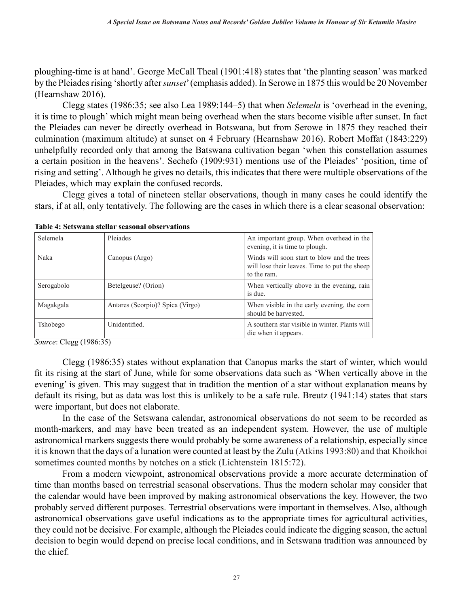ploughing-time is at hand'. George McCall Theal (1901:418) states that 'the planting season' was marked by the Pleiades rising 'shortly after *sunset*' (emphasis added). In Serowe in 1875 this would be 20 November (Hearnshaw 2016).

Clegg states (1986:35; see also Lea 1989:144–5) that when *Selemela* is 'overhead in the evening, it is time to plough' which might mean being overhead when the stars become visible after sunset. In fact the Pleiades can never be directly overhead in Botswana, but from Serowe in 1875 they reached their culmination (maximum altitude) at sunset on 4 February (Hearnshaw 2016). Robert Moffat (1843:229) unhelpfully recorded only that among the Batswana cultivation began 'when this constellation assumes a certain position in the heavens'. Sechefo (1909:931) mentions use of the Pleiades' 'position, time of rising and setting'. Although he gives no details, this indicates that there were multiple observations of the Pleiades, which may explain the confused records.

Clegg gives a total of nineteen stellar observations, though in many cases he could identify the stars, if at all, only tentatively. The following are the cases in which there is a clear seasonal observation:

| Selemela   | Pleiades                         | An important group. When overhead in the<br>evening, it is time to plough.                                  |
|------------|----------------------------------|-------------------------------------------------------------------------------------------------------------|
| Naka       | Canopus (Argo)                   | Winds will soon start to blow and the trees<br>will lose their leaves. Time to put the sheep<br>to the ram. |
| Serogabolo | Betelgeuse? (Orion)              | When vertically above in the evening, rain<br>is due.                                                       |
| Magakgala  | Antares (Scorpio)? Spica (Virgo) | When visible in the early evening, the corn<br>should be harvested.                                         |
| Tshobego   | Unidentified.                    | A southern star visible in winter. Plants will<br>die when it appears.                                      |

**Table 4: Setswana stellar seasonal observations**

*Source*: Clegg (1986:35)

Clegg (1986:35) states without explanation that Canopus marks the start of winter, which would fit its rising at the start of June, while for some observations data such as 'When vertically above in the evening' is given. This may suggest that in tradition the mention of a star without explanation means by default its rising, but as data was lost this is unlikely to be a safe rule. Breutz (1941:14) states that stars were important, but does not elaborate.

In the case of the Setswana calendar, astronomical observations do not seem to be recorded as month-markers, and may have been treated as an independent system. However, the use of multiple astronomical markers suggests there would probably be some awareness of a relationship, especially since it is known that the days of a lunation were counted at least by the Zulu (Atkins 1993:80) and that Khoikhoi sometimes counted months by notches on a stick (Lichtenstein 1815:72).

From a modern viewpoint, astronomical observations provide a more accurate determination of time than months based on terrestrial seasonal observations. Thus the modern scholar may consider that the calendar would have been improved by making astronomical observations the key. However, the two probably served different purposes. Terrestrial observations were important in themselves. Also, although astronomical observations gave useful indications as to the appropriate times for agricultural activities, they could not be decisive. For example, although the Pleiades could indicate the digging season, the actual decision to begin would depend on precise local conditions, and in Setswana tradition was announced by the chief.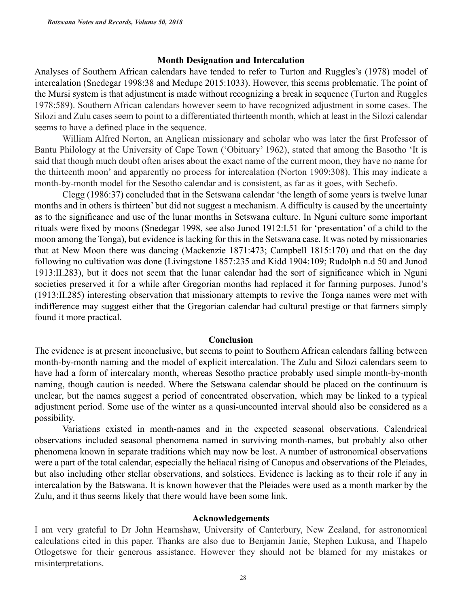### **Month Designation and Intercalation**

Analyses of Southern African calendars have tended to refer to Turton and Ruggles's (1978) model of intercalation (Snedegar 1998:38 and Medupe 2015:1033). However, this seems problematic. The point of the Mursi system is that adjustment is made without recognizing a break in sequence (Turton and Ruggles 1978:589). Southern African calendars however seem to have recognized adjustment in some cases. The Silozi and Zulu cases seem to point to a differentiated thirteenth month, which at least in the Silozi calendar seems to have a defined place in the sequence.

William Alfred Norton, an Anglican missionary and scholar who was later the first Professor of Bantu Philology at the University of Cape Town ('Obituary' 1962), stated that among the Basotho 'It is said that though much doubt often arises about the exact name of the current moon, they have no name for the thirteenth moon' and apparently no process for intercalation (Norton 1909:308). This may indicate a month-by-month model for the Sesotho calendar and is consistent, as far as it goes, with Sechefo.

Clegg (1986:37) concluded that in the Setswana calendar 'the length of some years is twelve lunar months and in others is thirteen' but did not suggest a mechanism. A difficulty is caused by the uncertainty as to the significance and use of the lunar months in Setswana culture. In Nguni culture some important rituals were fixed by moons (Snedegar 1998, see also Junod 1912:I.51 for 'presentation' of a child to the moon among the Tonga), but evidence is lacking for this in the Setswana case. It was noted by missionaries that at New Moon there was dancing (Mackenzie 1871:473; Campbell 1815:170) and that on the day following no cultivation was done (Livingstone 1857:235 and Kidd 1904:109; Rudolph n.d 50 and Junod 1913:II.283), but it does not seem that the lunar calendar had the sort of significance which in Nguni societies preserved it for a while after Gregorian months had replaced it for farming purposes. Junod's (1913:II.285) interesting observation that missionary attempts to revive the Tonga names were met with indifference may suggest either that the Gregorian calendar had cultural prestige or that farmers simply found it more practical.

## **Conclusion**

The evidence is at present inconclusive, but seems to point to Southern African calendars falling between month-by-month naming and the model of explicit intercalation. The Zulu and Silozi calendars seem to have had a form of intercalary month, whereas Sesotho practice probably used simple month-by-month naming, though caution is needed. Where the Setswana calendar should be placed on the continuum is unclear, but the names suggest a period of concentrated observation, which may be linked to a typical adjustment period. Some use of the winter as a quasi-uncounted interval should also be considered as a possibility.

Variations existed in month-names and in the expected seasonal observations. Calendrical observations included seasonal phenomena named in surviving month-names, but probably also other phenomena known in separate traditions which may now be lost. A number of astronomical observations were a part of the total calendar, especially the heliacal rising of Canopus and observations of the Pleiades, but also including other stellar observations, and solstices. Evidence is lacking as to their role if any in intercalation by the Batswana. It is known however that the Pleiades were used as a month marker by the Zulu, and it thus seems likely that there would have been some link.

## **Acknowledgements**

I am very grateful to Dr John Hearnshaw, University of Canterbury, New Zealand, for astronomical calculations cited in this paper. Thanks are also due to Benjamin Janie, Stephen Lukusa, and Thapelo Otlogetswe for their generous assistance. However they should not be blamed for my mistakes or misinterpretations.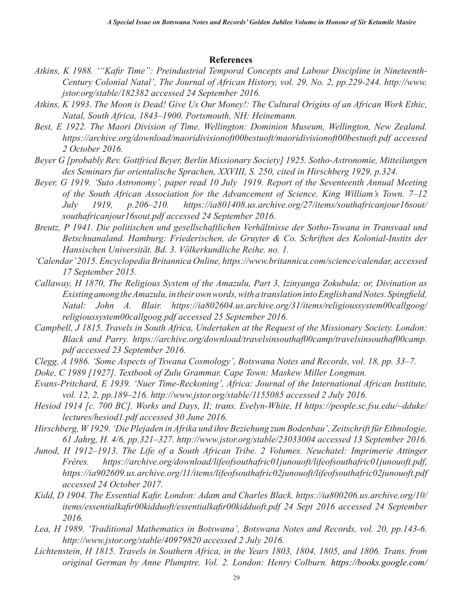# **References**

- *Atkins, K 1988. '"Kafir Time": Preindustrial Temporal Concepts and Labour Discipline in Nineteenth-Century Colonial Natal', The Journal of African History, vol. 29, No. 2, pp.229-244. http://www. jstor.org/stable/182382 accessed 24 September 2016.*
- *Atkins, K 1993. The Moon is Dead! Give Us Our Money!: The Cultural Origins of an African Work Ethic, Natal, South Africa, 1843–1900. Portsmouth, NH: Heinemann.*
- Best, E 1922. The Maori Division of Time. Wellington: Dominion Museum, Wellington, New Zealand. *https://archive.org/download/maoridivisionoft00bestuoft/maoridivisionoft00bestuoft.pdf accessed 2 October 2016.*
- *Beyer G [probably Rev. Gottfried Beyer, Berlin Missionary Society] 1925. Sotho-Astronomie, Mitteilungen des Seminars fur orientalische Sprachen, XXVIII, S. 250, cited in Hirschberg 1929, p.324.*
- *Beyer, G 1919. 'Suto Astronomy', paper read 10 July 1919. Report of the Seventeenth Annual Meeting of the South African Association for the Advancement of Science. King William's Town. 7–12 July 1919, p.206–210. https://ia801408.us.archive.org/27/items/southafricanjour16sout/ southafricanjour16sout.pdf accessed 24 September 2016.*
- *Breutz, P 1941. Die politischen und gesellschaftlichen Verhältnisse der Sotho-Tswana in Transvaal und Betschuanaland. Hamburg: Friederischen, de Gruyter & Co. Schriften des Kolonial-Instits der Hansischen Universität. Bd. 3. Völkerkundliche Reihe. no. 1.*
- *'Calendar' 2015. Encyclopedia Britannica Online, https://www.britannica.com/science/calendar, accessed 17 September 2015.*
- *Callaway, H 1870, The Religious System of the Amazulu, Part 3, Izinyanga Zokubula; or, Divination as Existing among the Amazulu, in their own words, with a translation into English and Notes. Spingfield, Natal: John A. Blair. https://ia802604.us.archive.org/31/items/religioussystem00callgoog/ religioussystem00callgoog.pdf accessed 25 September 2016.*
- *Campbell, J 1815. Travels in South Africa, Undertaken at the Request of the Missionary Society. London: Black and Parry. https://archive.org/download/travelsinsouthaf00camp/travelsinsouthaf00camp. pdf accessed 23 September 2016.*
- *Clegg, A 1986. 'Some Aspects of Tswana Cosmology', Botswana Notes and Records, vol. 18, pp. 33–7.*
- *Doke, C 1989 [1927]. Textbook of Zulu Grammar. Cape Town: Maskew Miller Longman.*
- *Evans-Pritchard, E 1939. 'Nuer Time-Reckoning', Africa: Journal of the International African Institute, vol. 12, 2, pp.189–216. http://www.jstor.org/stable/1155085 accessed 2 July 2016.*
- *Hesiod 1914 [c. 700 BC]. Works and Days, II; trans. Evelyn-White, H https://people.sc.fsu.edu/~dduke/ lectures/hesiod1.pdf accessed 30 June 2016.*
- *Hirschberg, W 1929. 'Die Plejaden in Afrika und ihre Beziehung zum Bodenbau', Zeitschrift für Ethnologie, 61 Jahrg, H. 4/6, pp.321–327. http://www.jstor.org/stable/23033004 accessed 13 September 2016.*
- *Junod, H 1912–1913. The Life of a South African Tribe. 2 Volumes. Neuchatel: Imprimerie Attinger Frères. https://archive.org/download/lifeofsouthafric01junouoft/lifeofsouthafric01junouoft.pdf, https://ia902609.us.archive.org/11/items/lifeofsouthafric02junouoft/lifeofsouthafric02junouoft.pdf accessed 24 October 2017.*
- *Kidd, D 1904. The Essential Kafir. London: Adam and Charles Black. https://ia800206.us.archive.org/10/ items/essentialkafir00kidduoft/essentialkafir00kidduoft.pdf 24 Sept 2016 accessed 24 September 2016.*
- *Lea, H 1989. 'Traditional Mathematics in Botswana', Botswana Notes and Records, vol. 20, pp.143-6. http://www.jstor.org/stable/40979820 accessed 2 July 2016.*
- *Lichtenstein, H 1815. Travels in Southern Africa, in the Years 1803, 1804, 1805, and 1806. Trans. from original German by Anne Plumptre. Vol. 2. London: Henry Colburn. https://books.google.com/*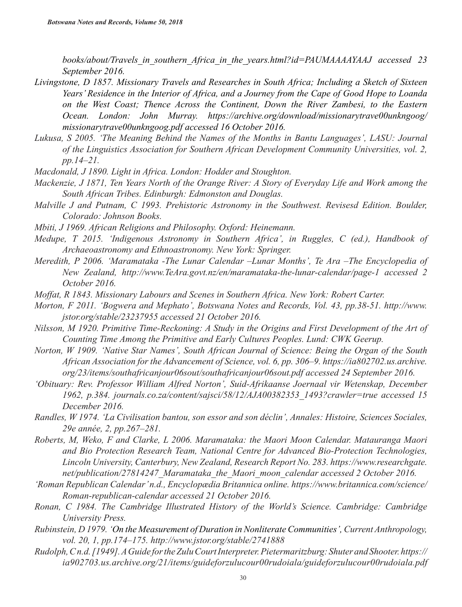*books/about/Travels\_in\_southern\_Africa\_in\_the\_years.html?id=PAUMAAAAYAAJ accessed 23 September 2016.*

- *Livingstone, D 1857. Missionary Travels and Researches in South Africa; Including a Sketch of Sixteen Years' Residence in the Interior of Africa, and a Journey from the Cape of Good Hope to Loanda on the West Coast; Thence Across the Continent, Down the River Zambesi, to the Eastern Ocean. London: John Murray. https://archive.org/download/missionarytrave00unkngoog/ missionarytrave00unkngoog.pdf accessed 16 October 2016.*
- *Lukusa, S 2005. 'The Meaning Behind the Names of the Months in Bantu Languages', LASU: Journal of the Linguistics Association for Southern African Development Community Universities, vol. 2, pp.14–21.*
- *Macdonald, J 1890. Light in Africa. London: Hodder and Stoughton.*
- *Mackenzie, J 1871, Ten Years North of the Orange River: A Story of Everyday Life and Work among the South African Tribes. Edinburgh: Edmonston and Douglas.*
- *Malville J and Putnam, C 1993. Prehistoric Astronomy in the Southwest. Revisesd Edition. Boulder, Colorado: Johnson Books.*
- *Mbiti, J 1969. African Religions and Philosophy. Oxford: Heinemann.*
- *Medupe, T 2015. 'Indigenous Astronomy in Southern Africa', in Ruggles, C (ed.), Handbook of Archaeoastronomy and Ethnoastronomy. New York: Springer.*
- *Meredith, P 2006. 'Maramataka -The Lunar Calendar –Lunar Months', Te Ara –The Encyclopedia of New Zealand, http://www.TeAra.govt.nz/en/maramataka-the-lunar-calendar/page-1 accessed 2 October 2016.*
- *Moffat, R 1843. Missionary Labours and Scenes in Southern Africa. New York: Robert Carter.*
- *Morton, F 2011. 'Bogwera and Mephato', Botswana Notes and Records, Vol. 43, pp.38-51. http://www. jstor.org/stable/23237955 accessed 21 October 2016.*
- *Nilsson, M 1920. Primitive Time-Reckoning: A Study in the Origins and First Development of the Art of Counting Time Among the Primitive and Early Cultures Peoples. Lund: CWK Geerup.*
- *Norton, W 1909. 'Native Star Names', South African Journal of Science: Being the Organ of the South African Association for the Advancement of Science, vol. 6, pp. 306–9. https://ia802702.us.archive. org/23/items/southafricanjour06sout/southafricanjour06sout.pdf accessed 24 September 2016.*
- *'Obituary: Rev. Professor William Alfred Norton', Suid-Afrikaanse Joernaal vir Wetenskap, December 1962, p.384. journals.co.za/content/sajsci/58/12/AJA00382353\_1493?crawler=true accessed 15 December 2016.*
- *Randles, W 1974. 'La Civilisation bantou, son essor and son déclin', Annales: Histoire, Sciences Sociales, 29e année, 2, pp.267–281.*
- *Roberts, M, Weko, F and Clarke, L 2006. Maramataka: the Maori Moon Calendar. Matauranga Maori and Bio Protection Research Team, National Centre for Advanced Bio-Protection Technologies, Lincoln University, Canterbury, New Zealand, Research Report No. 283. https://www.researchgate. net/publication/27814247\_Maramataka\_the\_Maori\_moon\_calendar accessed 2 October 2016.*
- *'Roman Republican Calendar' n.d., Encyclopædia Britannica online. https://www.britannica.com/science/ Roman-republican-calendar accessed 21 October 2016.*
- *Ronan, C 1984. The Cambridge Illustrated History of the World's Science. Cambridge: Cambridge University Press.*
- *Rubinstein, D 1979. 'On the Measurement of Duration in Nonliterate Communities', Current Anthropology, vol. 20, 1, pp.174–175. http://www.jstor.org/stable/2741888*
- *Rudolph, C n.d. [1949]. A Guide for the Zulu Court Interpreter. Pietermaritzburg: Shuter and Shooter. https:// ia902703.us.archive.org/21/items/guideforzulucour00rudoiala/guideforzulucour00rudoiala.pdf*